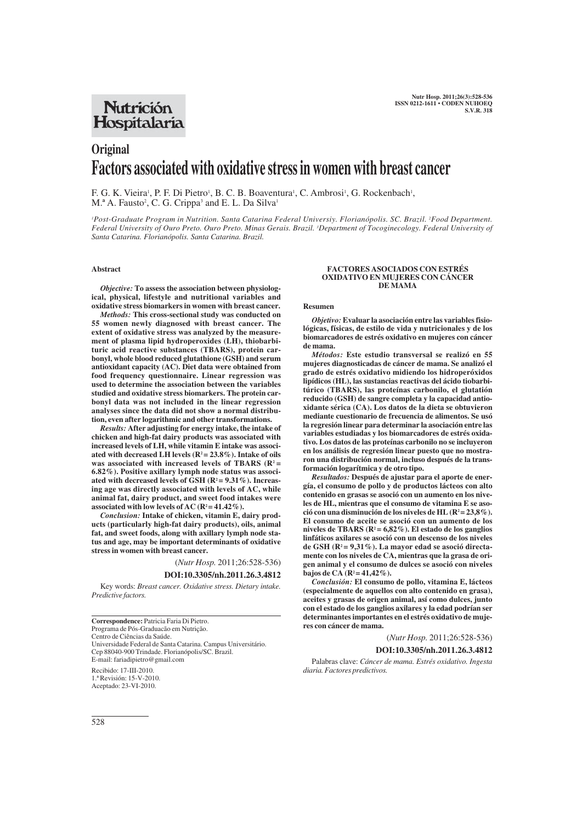# **Nutrición** Hospitalaria

# **Original Factors associated with oxidative stress in women with breast cancer**

F. G. K. Vieira<sup>1</sup>, P. F. Di Pietro<sup>1</sup>, B. C. B. Boaventura<sup>1</sup>, C. Ambrosi<sup>1</sup>, G. Rockenbach<sup>1</sup>, M.<sup>a</sup> A. Fausto<sup>2</sup>, C. G. Crippa<sup>3</sup> and E. L. Da Silva<sup>1</sup>

*1 Post-Graduate Program in Nutrition. Santa Catarina Federal Universiy. Florianópolis. SC. Brazil. 2 Food Department. Federal University of Ouro Preto. Ouro Preto. Minas Gerais. Brazil. 3 Department of Tocoginecology. Federal University of Santa Catarina. Florianópolis. Santa Catarina. Brazil.*

# **Abstract**

*Objective:* **To assess the association between physiological, physical, lifestyle and nutritional variables and oxidative stress biomarkers in women with breast cancer.**

*Methods:* **This cross-sectional study was conducted on 55 women newly diagnosed with breast cancer. The extent of oxidative stress was analyzed by the measurement of plasma lipid hydroperoxides (LH), thiobarbituric acid reactive substances (TBARS), protein carbonyl, whole blood reduced glutathione (GSH) and serum antioxidant capacity (AC). Diet data were obtained from food frequency questionnaire. Linear regression was used to determine the association between the variables studied and oxidative stress biomarkers. The protein carbonyl data was not included in the linear regression analyses since the data did not show a normal distribution, even after logarithmic and other transformations.**

*Results:* **After adjusting for energy intake, the intake of chicken and high-fat dairy products was associated with increased levels of LH, while vitamin E intake was associated with decreased LH levels (R2 = 23.8%). Intake of oils was associated with increased levels of TBARS (R2 = 6.82%). Positive axillary lymph node status was associated with decreased levels of GSH (R2 = 9.31%). Increasing age was directly associated with levels of AC, while animal fat, dairy product, and sweet food intakes were** associated with low levels of AC  $(R^2 = 41.42\%)$ .

*Conclusion:* **Intake of chicken, vitamin E, dairy products (particularly high-fat dairy products), oils, animal fat, and sweet foods, along with axillary lymph node status and age, may be important determinants of oxidative stress in women with breast cancer.**

> (*Nutr Hosp.* 2011;26:528-536) **DOI:10.3305/nh.2011.26.3.4812**

Key words: *Breast cancer. Oxidative stress. Dietary intake. Predictive factors.*

**Correspondence:** Patricia Faria Di Pietro. Programa de Pós-Graduacão em Nutrição. Centro de Ciências da Saúde. Universidade Federal de Santa Catarina. Campus Universitário. Cep 88040-900 Trindade. Florianópolis/SC. Brazil. E-mail: fariadipietro@gmail.com Recibido: 17-III-2010. 1.ª Revisión: 15-V-2010. Aceptado: 23-VI-2010.

#### **FACTORES ASOCIADOS CON ESTRÉS OXIDATIVO EN MUJERES CON CÁNCER DE MAMA**

#### **Resumen**

*Objetivo:* **Evaluar la asociación entre las variables fisiológicas, físicas, de estilo de vida y nutricionales y de los biomarcadores de estrés oxidativo en mujeres con cáncer de mama.** 

*Métodos:* **Este estudio transversal se realizó en 55 mujeres diagnosticadas de cáncer de mama. Se analizó el grado de estrés oxidativo midiendo los hidroperóxidos lipídicos (HL), las sustancias reactivas del ácido tiobarbitúrico (TBARS), las proteínas carbonilo, el glutatión reducido (GSH) de sangre completa y la capacidad antioxidante sérica (CA). Los datos de la dieta se obtuvieron mediante cuestionario de frecuencia de alimentos. Se usó la regresión linear para determinar la asociación entre las variables estudiadas y los biomarcadores de estrés oxidativo. Los datos de las proteínas carbonilo no se incluyeron en los análisis de regresión linear puesto que no mostraron una distribución normal, incluso después de la transformación logarítmica y de otro tipo.** 

*Resultados:* **Después de ajustar para el aporte de energía, el consumo de pollo y de productos lácteos con alto contenido en grasas se asoció con un aumento en los niveles de HL, mientras que el consumo de vitamina E se aso**ció con una disminución de los niveles de HL (R<sup>2</sup> = 23,8%). **El consumo de aceite se asoció con un aumento de los niveles de TBARS (R2 = 6,82%). El estado de los ganglios linfáticos axilares se asoció con un descenso de los niveles de GSH (R2 = 9,31%). La mayor edad se asoció directamente con los niveles de CA, mientras que la grasa de origen animal y el consumo de dulces se asoció con niveles bajos de CA (R2 = 41,42%).** 

*Conclusión:* **El consumo de pollo, vitamina E, lácteos (especialmente de aquellos con alto contenido en grasa), aceites y grasas de origen animal, así como dulces, junto con el estado de los ganglios axilares y la edad podrían ser determinantes importantes en el estrés oxidativo de mujeres con cáncer de mama.** 

(*Nutr Hosp.* 2011;26:528-536)

**DOI:10.3305/nh.2011.26.3.4812**

Palabras clave: *Cáncer de mama. Estrés oxidativo. Ingesta diaria. Factores predictivos.*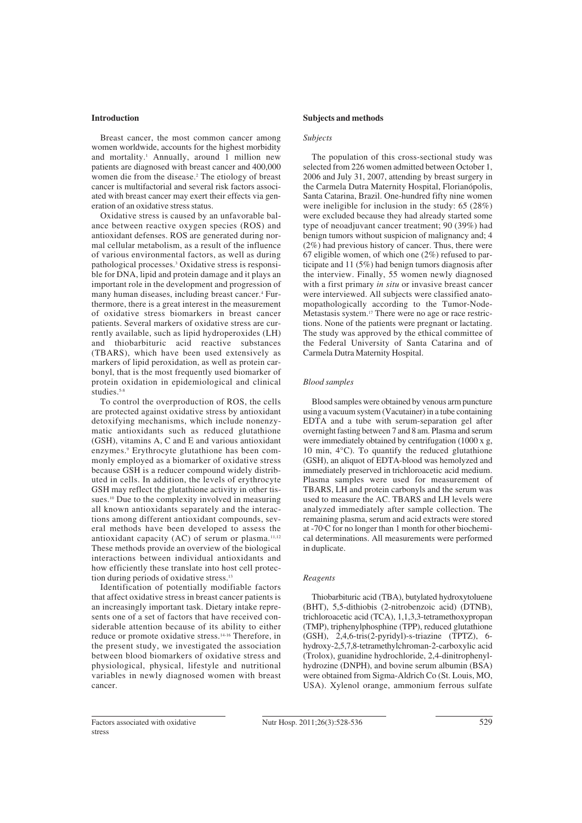# **Introduction**

Breast cancer, the most common cancer among women worldwide, accounts for the highest morbidity and mortality.<sup>1</sup> Annually, around  $\overline{1}$  million new patients are diagnosed with breast cancer and 400,000 women die from the disease.2 The etiology of breast cancer is multifactorial and several risk factors associated with breast cancer may exert their effects via generation of an oxidative stress status.

Oxidative stress is caused by an unfavorable balance between reactive oxygen species (ROS) and antioxidant defenses. ROS are generated during normal cellular metabolism, as a result of the influence of various environmental factors, as well as during pathological processes.3 Oxidative stress is responsible for DNA, lipid and protein damage and it plays an important role in the development and progression of many human diseases, including breast cancer.<sup>4</sup> Furthermore, there is a great interest in the measurement of oxidative stress biomarkers in breast cancer patients. Several markers of oxidative stress are currently available, such as lipid hydroperoxides (LH) and thiobarbituric acid reactive substances (TBARS), which have been used extensively as markers of lipid peroxidation, as well as protein carbonyl, that is the most frequently used biomarker of protein oxidation in epidemiological and clinical studies.<sup>5-8</sup>

To control the overproduction of ROS, the cells are protected against oxidative stress by antioxidant detoxifying mechanisms, which include nonenzymatic antioxidants such as reduced glutathione (GSH), vitamins A, C and E and various antioxidant enzymes.9 Erythrocyte glutathione has been commonly employed as a biomarker of oxidative stress because GSH is a reducer compound widely distributed in cells. In addition, the levels of erythrocyte GSH may reflect the glutathione activity in other tissues.<sup>10</sup> Due to the complexity involved in measuring all known antioxidants separately and the interactions among different antioxidant compounds, several methods have been developed to assess the antioxidant capacity  $(AC)$  of serum or plasma.<sup>11,12</sup> These methods provide an overview of the biological interactions between individual antioxidants and how efficiently these translate into host cell protection during periods of oxidative stress.<sup>13</sup>

Identification of potentially modifiable factors that affect oxidative stress in breast cancer patients is an increasingly important task. Dietary intake represents one of a set of factors that have received considerable attention because of its ability to either reduce or promote oxidative stress.14-16 Therefore, in the present study, we investigated the association between blood biomarkers of oxidative stress and physiological, physical, lifestyle and nutritional variables in newly diagnosed women with breast cancer.

### **Subjects and methods**

#### *Subjects*

The population of this cross-sectional study was selected from 226 women admitted between October 1, 2006 and July 31, 2007, attending by breast surgery in the Carmela Dutra Maternity Hospital, Florianópolis, Santa Catarina, Brazil. One-hundred fifty nine women were ineligible for inclusion in the study: 65 (28%) were excluded because they had already started some type of neoadjuvant cancer treatment; 90 (39%) had benign tumors without suspicion of malignancy and; 4 (2%) had previous history of cancer. Thus, there were 67 eligible women, of which one  $(2\%)$  refused to participate and 11 (5%) had benign tumors diagnosis after the interview. Finally, 55 women newly diagnosed with a first primary *in situ* or invasive breast cancer were interviewed. All subjects were classified anatomopathologically according to the Tumor-Node-Metastasis system.17 There were no age or race restrictions. None of the patients were pregnant or lactating. The study was approved by the ethical committee of the Federal University of Santa Catarina and of Carmela Dutra Maternity Hospital.

#### *Blood samples*

Blood samples were obtained by venous arm puncture using a vacuum system (Vacutainer) in a tube containing EDTA and a tube with serum-separation gel after overnight fasting between 7 and 8 am. Plasma and serum were immediately obtained by centrifugation (1000 x g, 10 min, 4°C). To quantify the reduced glutathione (GSH), an aliquot of EDTA-blood was hemolyzed and immediately preserved in trichloroacetic acid medium. Plasma samples were used for measurement of TBARS, LH and protein carbonyls and the serum was used to measure the AC. TBARS and LH levels were analyzed immediately after sample collection. The remaining plasma, serum and acid extracts were stored at -70°C for no longer than 1 month for other biochemical determinations. All measurements were performed in duplicate.

#### *Reagents*

Thiobarbituric acid (TBA), butylated hydroxytoluene (BHT), 5,5-dithiobis (2-nitrobenzoic acid) (DTNB), trichloroacetic acid (TCA), 1,1,3,3-tetramethoxypropan (TMP), triphenylphosphine (TPP), reduced glutathione (GSH), 2,4,6-tris(2-pyridyl)-s-triazine (TPTZ), 6 hydroxy-2,5,7,8-tetramethylchroman-2-carboxylic acid (Trolox), guanidine hydrochloride, 2,4-dinitrophenylhydrozine (DNPH), and bovine serum albumin (BSA) were obtained from Sigma-Aldrich Co (St. Louis, MO, USA). Xylenol orange, ammonium ferrous sulfate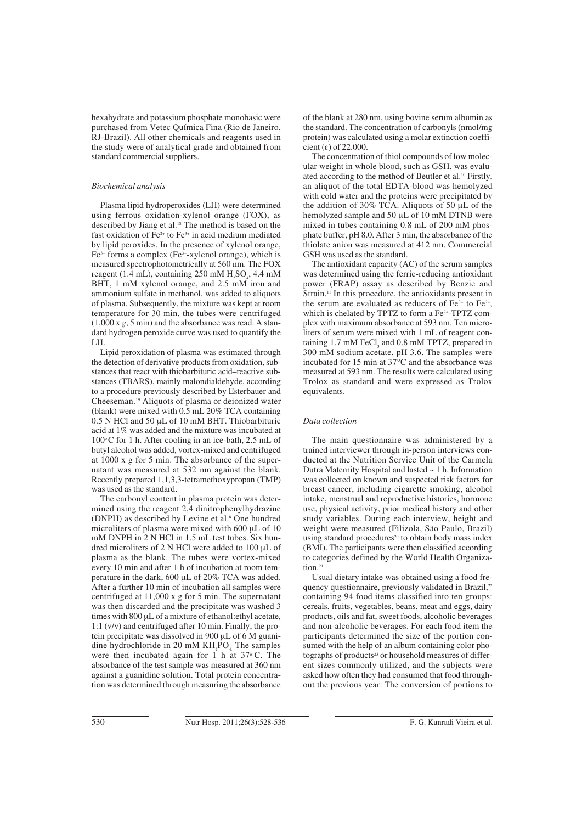hexahydrate and potassium phosphate monobasic were purchased from Vetec Química Fina (Rio de Janeiro, RJ-Brazil). All other chemicals and reagents used in the study were of analytical grade and obtained from standard commercial suppliers.

# *Biochemical analysis*

Plasma lipid hydroperoxides (LH) were determined using ferrous oxidation-xylenol orange (FOX), as described by Jiang et al.<sup>18</sup> The method is based on the fast oxidation of Fe2+ to Fe3+ in acid medium mediated by lipid peroxides. In the presence of xylenol orange,  $Fe<sup>3+</sup>$  forms a complex (Fe<sup>3+</sup>-xylenol orange), which is measured spectrophotometrically at 560 nm. The FOX reagent (1.4 mL), containing  $250 \text{ mM } H_2SO_4$ , 4.4 mM BHT, 1 mM xylenol orange, and 2.5 mM iron and ammonium sulfate in methanol, was added to aliquots of plasma. Subsequently, the mixture was kept at room temperature for 30 min, the tubes were centrifuged (1,000 x *g*, 5 min) and the absorbance was read. A standard hydrogen peroxide curve was used to quantify the LH.

Lipid peroxidation of plasma was estimated through the detection of derivative products from oxidation, substances that react with thiobarbituric acid–reactive substances (TBARS), mainly malondialdehyde, according to a procedure previously described by Esterbauer and Cheeseman.19 Aliquots of plasma or deionized water (blank) were mixed with 0.5 mL 20% TCA containing 0.5 N HCl and 50 μL of 10 mM BHT. Thiobarbituric acid at 1% was added and the mixture was incubated at  $100^{\circ}$ C for 1 h. After cooling in an ice-bath, 2.5 mL of butyl alcohol was added, vortex-mixed and centrifuged at 1000 x g for 5 min. The absorbance of the supernatant was measured at 532 nm against the blank. Recently prepared 1,1,3,3-tetramethoxypropan (TMP) was used as the standard.

The carbonyl content in plasma protein was determined using the reagent 2,4 dinitrophenylhydrazine (DNPH) as described by Levine et al.8 One hundred microliters of plasma were mixed with 600 μL of 10 mM DNPH in 2 N HCl in 1.5 mL test tubes. Six hundred microliters of 2 N HCl were added to 100 μL of plasma as the blank. The tubes were vortex-mixed every 10 min and after 1 h of incubation at room temperature in the dark, 600 μL of 20% TCA was added. After a further 10 min of incubation all samples were centrifuged at 11,000 x g for 5 min. The supernatant was then discarded and the precipitate was washed 3 times with 800 μL of a mixture of ethanol:ethyl acetate, 1:1 (v/v) and centrifuged after 10 min. Finally, the protein precipitate was dissolved in 900 μL of 6 M guanidine hydrochloride in 20 mM  $KH_{2}PO_{4}$ . The samples were then incubated again for  $1$  h at  $37^{\circ}$  C. The absorbance of the test sample was measured at 360 nm against a guanidine solution. Total protein concentration was determined through measuring the absorbance

of the blank at 280 nm, using bovine serum albumin as the standard. The concentration of carbonyls (nmol/mg protein) was calculated using a molar extinction coefficient (ε) of 22.000.

The concentration of thiol compounds of low molecular weight in whole blood, such as GSH, was evaluated according to the method of Beutler et al.10 Firstly, an aliquot of the total EDTA-blood was hemolyzed with cold water and the proteins were precipitated by the addition of 30% TCA. Aliquots of 50 μL of the hemolyzed sample and 50 μL of 10 mM DTNB were mixed in tubes containing 0.8 mL of 200 mM phosphate buffer, pH 8.0. After 3 min, the absorbance of the thiolate anion was measured at 412 nm. Commercial GSH was used as the standard.

The antioxidant capacity (AC) of the serum samples was determined using the ferric-reducing antioxidant power (FRAP) assay as described by Benzie and Strain.11 In this procedure, the antioxidants present in the serum are evaluated as reducers of  $Fe^{3+}$  to  $Fe^{2+}$ , which is chelated by TPTZ to form a Fe<sup>2+</sup>-TPTZ complex with maximum absorbance at 593 nm. Ten microliters of serum were mixed with 1 mL of reagent containing 1.7 mM FeCl, and 0.8 mM TPTZ, prepared in 300 mM sodium acetate, pH 3.6. The samples were incubated for 15 min at 37°C and the absorbance was measured at 593 nm. The results were calculated using Trolox as standard and were expressed as Trolox equivalents.

# *Data collection*

The main questionnaire was administered by a trained interviewer through in-person interviews conducted at the Nutrition Service Unit of the Carmela Dutra Maternity Hospital and lasted ~ 1 h. Information was collected on known and suspected risk factors for breast cancer, including cigarette smoking, alcohol intake, menstrual and reproductive histories, hormone use, physical activity, prior medical history and other study variables. During each interview, height and weight were measured (Filizola, São Paulo, Brazil) using standard procedures<sup>20</sup> to obtain body mass index (BMI). The participants were then classified according to categories defined by the World Health Organization.<sup>21</sup>

Usual dietary intake was obtained using a food frequency questionnaire, previously validated in Brazil,<sup>22</sup> containing 94 food items classified into ten groups: cereals, fruits, vegetables, beans, meat and eggs, dairy products, oils and fat, sweet foods, alcoholic beverages and non-alcoholic beverages. For each food item the participants determined the size of the portion consumed with the help of an album containing color photographs of products<sup>23</sup> or household measures of different sizes commonly utilized, and the subjects were asked how often they had consumed that food throughout the previous year. The conversion of portions to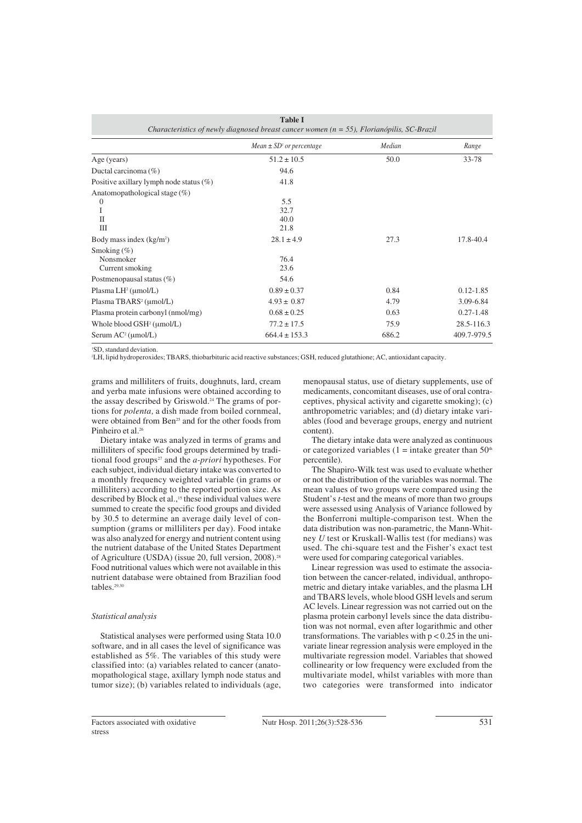| <b>Table I</b><br>Characteristics of newly diagnosed breast cancer women $(n = 55)$ , Florianópilis, SC-Brazil |                              |        |               |  |
|----------------------------------------------------------------------------------------------------------------|------------------------------|--------|---------------|--|
|                                                                                                                | $Mean \pm SD1$ or percentage | Median | Range         |  |
| Age (years)                                                                                                    | $51.2 \pm 10.5$              | 50.0   | 33-78         |  |
| Ductal carcinoma (%)                                                                                           | 94.6                         |        |               |  |
| Positive axillary lymph node status $(\%)$                                                                     | 41.8                         |        |               |  |
| Anatomopathological stage $(\%)$<br>$\theta$<br>I<br>$\mathbf{I}$<br>Ш                                         | 5.5<br>32.7<br>40.0<br>21.8  |        |               |  |
| Body mass index $(kg/m2)$                                                                                      | $28.1 \pm 4.9$               | 27.3   | 17.8-40.4     |  |
| Smoking $(\% )$<br>Nonsmoker<br>Current smoking                                                                | 76.4<br>23.6                 |        |               |  |
| Postmenopausal status (%)                                                                                      | 54.6                         |        |               |  |
| Plasma $LH^2$ (umol/L)                                                                                         | $0.89 \pm 0.37$              | 0.84   | $0.12 - 1.85$ |  |
| Plasma TBARS <sup>2</sup> (µmol/L)                                                                             | $4.93 \pm 0.87$              | 4.79   | 3.09-6.84     |  |
| Plasma protein carbonyl (nmol/mg)                                                                              | $0.68 \pm 0.25$              | 0.63   | $0.27 - 1.48$ |  |
| Whole blood GSH <sup>2</sup> (µmol/L)                                                                          | $77.2 \pm 17.5$              | 75.9   | 28.5-116.3    |  |
| Serum $AC^2$ ( $\mu$ mol/L)                                                                                    | $664.4 \pm 153.3$            | 686.2  | 409.7-979.5   |  |

1 SD, standard deviation.

2 LH, lipid hydroperoxides; TBARS, thiobarbituric acid reactive substances; GSH, reduced glutathione; AC, antioxidant capacity.

grams and milliliters of fruits, doughnuts, lard, cream and yerba mate infusions were obtained according to the assay described by Griswold.24 The grams of portions for *polenta,* a dish made from boiled cornmeal, were obtained from Ben<sup>25</sup> and for the other foods from Pinheiro et al.<sup>26</sup>

Dietary intake was analyzed in terms of grams and milliliters of specific food groups determined by traditional food groups<sup>27</sup> and the *a-priori* hypotheses. For each subject, individual dietary intake was converted to a monthly frequency weighted variable (in grams or milliliters) according to the reported portion size. As described by Block et al.,<sup>15</sup> these individual values were summed to create the specific food groups and divided by 30.5 to determine an average daily level of consumption (grams or milliliters per day). Food intake was also analyzed for energy and nutrient content using the nutrient database of the United States Department of Agriculture (USDA) (issue 20, full version, 2008).28 Food nutritional values which were not available in this nutrient database were obtained from Brazilian food tables.<sup>29,3</sup>

### *Statistical analysis*

Statistical analyses were performed using Stata 10.0 software, and in all cases the level of significance was established as 5%. The variables of this study were classified into: (a) variables related to cancer (anatomopathological stage, axillary lymph node status and tumor size); (b) variables related to individuals (age, menopausal status, use of dietary supplements, use of medicaments, concomitant diseases, use of oral contraceptives, physical activity and cigarette smoking); (c) anthropometric variables; and (d) dietary intake variables (food and beverage groups, energy and nutrient content).

The dietary intake data were analyzed as continuous or categorized variables (1 = intake greater than  $50<sup>th</sup>$ percentile).

The Shapiro-Wilk test was used to evaluate whether or not the distribution of the variables was normal. The mean values of two groups were compared using the Student's *t*-test and the means of more than two groups were assessed using Analysis of Variance followed by the Bonferroni multiple-comparison test. When the data distribution was non-parametric, the Mann-Whitney *U* test or Kruskall-Wallis test (for medians) was used. The chi-square test and the Fisher's exact test were used for comparing categorical variables.

Linear regression was used to estimate the association between the cancer-related, individual, anthropometric and dietary intake variables, and the plasma LH and TBARS levels, whole blood GSH levels and serum AC levels. Linear regression was not carried out on the plasma protein carbonyl levels since the data distribution was not normal, even after logarithmic and other transformations. The variables with  $p < 0.25$  in the univariate linear regression analysis were employed in the multivariate regression model. Variables that showed collinearity or low frequency were excluded from the multivariate model, whilst variables with more than two categories were transformed into indicator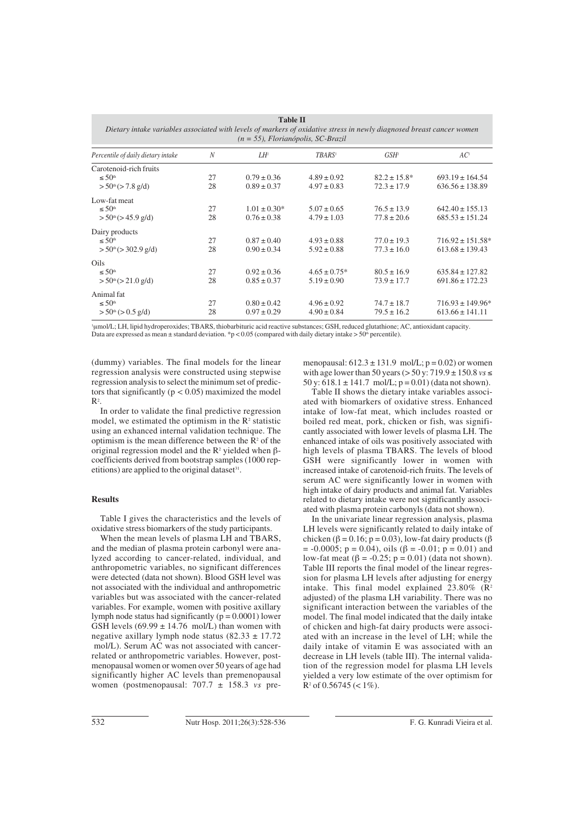| таріе п<br>Dietary intake variables associated with levels of markers of oxidative stress in newly diagnosed breast cancer women<br>$(n = 55)$ , Florianópolis, SC-Brazil |    |                   |                   |                   |                      |
|---------------------------------------------------------------------------------------------------------------------------------------------------------------------------|----|-------------------|-------------------|-------------------|----------------------|
| Percentile of daily dietary intake                                                                                                                                        | N  | LH'               | <b>TBARS'</b>     | GSH <sup>1</sup>  | AC <sup>1</sup>      |
| Carotenoid-rich fruits                                                                                                                                                    |    |                   |                   |                   |                      |
| $\leq 50th$                                                                                                                                                               | 27 | $0.79 \pm 0.36$   | $4.89 \pm 0.92$   | $82.2 \pm 15.8^*$ | $693.19 \pm 164.54$  |
| > 50 <sup>th</sup> (> 7.8 g/d)                                                                                                                                            | 28 | $0.89 \pm 0.37$   | $4.97 \pm 0.83$   | $72.3 \pm 17.9$   | $636.56 \pm 138.89$  |
| Low-fat meat                                                                                                                                                              |    |                   |                   |                   |                      |
| $\leq 50^{\text{th}}$                                                                                                                                                     | 27 | $1.01 \pm 0.30^*$ | $5.07 \pm 0.65$   | $76.5 \pm 13.9$   | $642.40 \pm 155.13$  |
| $> 50th$ ( $> 45.9$ g/d)                                                                                                                                                  | 28 | $0.76 \pm 0.38$   | $4.79 \pm 1.03$   | $77.8 \pm 20.6$   | $685.53 \pm 151.24$  |
| Dairy products                                                                                                                                                            |    |                   |                   |                   |                      |
| $\leq 50$ <sup>th</sup>                                                                                                                                                   | 27 | $0.87 \pm 0.40$   | $4.93 \pm 0.88$   | $77.0 \pm 19.3$   | $716.92 \pm 151.58*$ |
| $> 50th$ ( $> 302.9$ g/d)                                                                                                                                                 | 28 | $0.90 \pm 0.34$   | $5.92 \pm 0.88$   | $77.3 \pm 16.0$   | $613.68 \pm 139.43$  |
| Oils                                                                                                                                                                      |    |                   |                   |                   |                      |
| $\leq 50$ <sup>th</sup>                                                                                                                                                   | 27 | $0.92 \pm 0.36$   | $4.65 \pm 0.75$ * | $80.5 \pm 16.9$   | $635.84 \pm 127.82$  |
| > 50 <sup>th</sup> (> 21.0 g/d)                                                                                                                                           | 28 | $0.85 \pm 0.37$   | $5.19 \pm 0.90$   | $73.9 \pm 17.7$   | $691.86 \pm 172.23$  |
| Animal fat                                                                                                                                                                |    |                   |                   |                   |                      |
| $\leq 50$ <sup>th</sup>                                                                                                                                                   | 27 | $0.80 \pm 0.42$   | $4.96 \pm 0.92$   | $74.7 \pm 18.7$   | $716.93 \pm 149.96*$ |
| > 50 <sup>th</sup> (> 0.5 g/d)                                                                                                                                            | 28 | $0.97 \pm 0.29$   | $4.90 \pm 0.84$   | $79.5 \pm 16.2$   | $613.66 \pm 141.11$  |

**Table II**

1 μmol/L; LH, lipid hydroperoxides; TBARS, thiobarbituric acid reactive substances; GSH, reduced glutathione; AC, antioxidant capacity. Data are expressed as mean  $\pm$  standard deviation. \*p < 0.05 (compared with daily dietary intake > 50<sup>th</sup> percentile).

(dummy) variables. The final models for the linear regression analysis were constructed using stepwise regression analysis to select the minimum set of predictors that significantly ( $p < 0.05$ ) maximized the model  $\mathbb{R}^2$ .

In order to validate the final predictive regression model, we estimated the optimism in the  $R<sup>2</sup>$  statistic using an exhanced internal validation technique. The optimism is the mean difference between the  $R<sup>2</sup>$  of the original regression model and the  $R^2$  yielded when βcoefficients derived from bootstrap samples (1000 repetitions) are applied to the original dataset<sup>31</sup>.

# **Results**

Table I gives the characteristics and the levels of oxidative stress biomarkers of the study participants.

When the mean levels of plasma LH and TBARS, and the median of plasma protein carbonyl were analyzed according to cancer-related, individual, and anthropometric variables, no significant differences were detected (data not shown). Blood GSH level was not associated with the individual and anthropometric variables but was associated with the cancer-related variables. For example, women with positive axillary lymph node status had significantly ( $p = 0.0001$ ) lower GSH levels  $(69.99 \pm 14.76 \text{ mol/L})$  than women with negative axillary lymph node status  $(82.33 \pm 17.72)$ mol/L). Serum AC was not associated with cancerrelated or anthropometric variables. However, postmenopausal women or women over 50 years of age had significantly higher AC levels than premenopausal women (postmenopausal: 707.7 ± 158.3 *vs* premenopausal:  $612.3 \pm 131.9$  mol/L;  $p = 0.02$ ) or women with age lower than 50 years (> 50 y: 719.9 ± 150.8 *vs* ≤ 50 y:  $618.1 \pm 141.7 \text{ mol/L}$ ; p = 0.01) (data not shown).

Table II shows the dietary intake variables associated with biomarkers of oxidative stress. Enhanced intake of low-fat meat, which includes roasted or boiled red meat, pork, chicken or fish, was significantly associated with lower levels of plasma LH. The enhanced intake of oils was positively associated with high levels of plasma TBARS. The levels of blood GSH were significantly lower in women with increased intake of carotenoid-rich fruits. The levels of serum AC were significantly lower in women with high intake of dairy products and animal fat. Variables related to dietary intake were not significantly associated with plasma protein carbonyls (data not shown).

In the univariate linear regression analysis, plasma LH levels were significantly related to daily intake of chicken (β = 0.16; p = 0.03), low-fat dairy products (β  $= -0.0005$ ;  $p = 0.04$ ), oils ( $\beta = -0.01$ ;  $p = 0.01$ ) and low-fat meat (β = -0.25; p = 0.01) (data not shown). Table III reports the final model of the linear regression for plasma LH levels after adjusting for energy intake. This final model explained  $23.80\%$  ( $\mathbb{R}^2$ ) adjusted) of the plasma LH variability. There was no significant interaction between the variables of the model. The final model indicated that the daily intake of chicken and high-fat dairy products were associated with an increase in the level of LH; while the daily intake of vitamin E was associated with an decrease in LH levels (table III). The internal validation of the regression model for plasma LH levels yielded a very low estimate of the over optimism for  $R^2$  of 0.56745 (< 1%).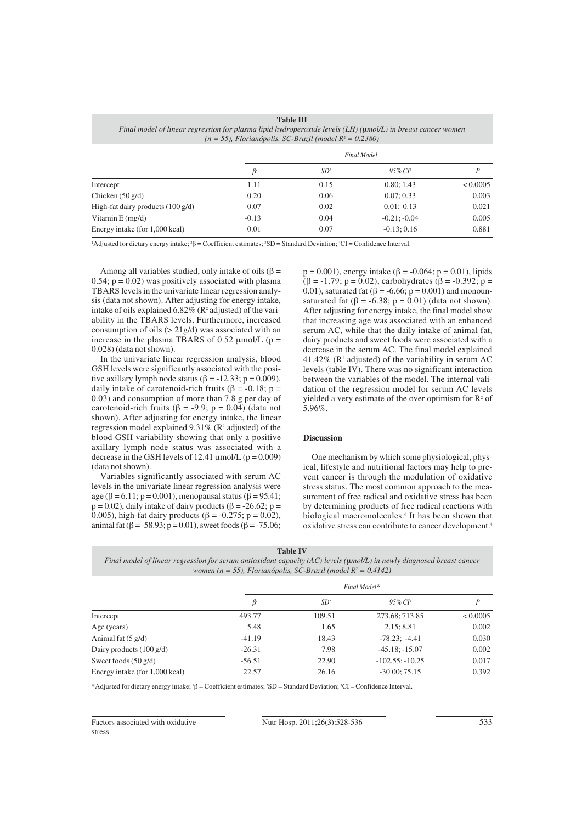| Table III<br>Final model of linear regression for plasma lipid hydroperoxide levels (LH) (umol/L) in breast cancer women<br>$(n = 55)$ , Florianópolis, SC-Brazil (model $R^2 = 0.2380$ ) |                          |      |                        |          |
|-------------------------------------------------------------------------------------------------------------------------------------------------------------------------------------------|--------------------------|------|------------------------|----------|
|                                                                                                                                                                                           | Final Model <sup>1</sup> |      |                        |          |
|                                                                                                                                                                                           | β                        | SD₹  | $95\%$ CI <sup>4</sup> | P        |
| Intercept                                                                                                                                                                                 | 1.11                     | 0.15 | 0.80; 1.43             | < 0.0005 |
| Chicken $(50 \text{ g/d})$                                                                                                                                                                | 0.20                     | 0.06 | 0.07; 0.33             | 0.003    |
| High-fat dairy products $(100 \text{ g/d})$                                                                                                                                               | 0.07                     | 0.02 | 0.01; 0.13             | 0.021    |
| Vitamin E (mg/d)                                                                                                                                                                          | $-0.13$                  | 0.04 | $-0.21: -0.04$         | 0.005    |
| Energy intake (for 1,000 kcal)                                                                                                                                                            | 0.01                     | 0.07 | $-0.13:0.16$           | 0.881    |

**Table III**

<sup>1</sup>Adjusted for dietary energy intake; <sup>2</sup>β = Coefficient estimates; <sup>3</sup>SD = Standard Deviation; <sup>4</sup>CI = Confidence Interval.

Among all variables studied, only intake of oils ( $\beta$  = 0.54;  $p = 0.02$ ) was positively associated with plasma TBARS levels in the univariate linear regression analysis (data not shown). After adjusting for energy intake, intake of oils explained  $6.82\%$  (R<sup>2</sup> adjusted) of the variability in the TBARS levels. Furthermore, increased consumption of oils  $(>21g/d)$  was associated with an increase in the plasma TBARS of 0.52  $\mu$ mol/L (p = 0.028) (data not shown).

In the univariate linear regression analysis, blood GSH levels were significantly associated with the positive axillary lymph node status ( $\beta$  = -12.33; p = 0.009), daily intake of carotenoid-rich fruits ( $\beta$  = -0.18; p = 0.03) and consumption of more than 7.8 g per day of carotenoid-rich fruits (β = -9.9; p = 0.04) (data not shown). After adjusting for energy intake, the linear regression model explained  $9.31\%$  (R<sup>2</sup> adjusted) of the blood GSH variability showing that only a positive axillary lymph node status was associated with a decrease in the GSH levels of 12.41  $\mu$ mol/L (p = 0.009) (data not shown).

Variables significantly associated with serum AC levels in the univariate linear regression analysis were age (β = 6.11; p = 0.001), menopausal status (β = 95.41;  $p = 0.02$ ), daily intake of dairy products ( $\beta = -26.62$ ;  $p =$ 0.005), high-fat dairy products (β = -0.275; p = 0.02), animal fat (β = -58.93; p = 0.01), sweet foods (β = -75.06;

 $p = 0.001$ , energy intake ( $\beta = -0.064$ ;  $p = 0.01$ ), lipids  $(β = -1.79; p = 0.02)$ , carbohydrates  $(β = -0.392; p =$ 0.01), saturated fat (β = -6.66; p = 0.001) and monounsaturated fat ( $\beta$  = -6.38; p = 0.01) (data not shown). After adjusting for energy intake, the final model show that increasing age was associated with an enhanced serum AC, while that the daily intake of animal fat, dairy products and sweet foods were associated with a decrease in the serum AC. The final model explained 41.42% ( $\mathbb{R}^2$  adjusted) of the variability in serum AC levels (table IV). There was no significant interaction between the variables of the model. The internal validation of the regression model for serum AC levels yielded a very estimate of the over optimism for  $\mathbb{R}^2$  of 5.96%.

## **Discussion**

One mechanism by which some physiological, physical, lifestyle and nutritional factors may help to prevent cancer is through the modulation of oxidative stress status. The most common approach to the measurement of free radical and oxidative stress has been by determining products of free radical reactions with biological macromolecules.6 It has been shown that oxidative stress can contribute to cancer development.4

| <b>Table IV</b> |
|-----------------|
|-----------------|

| Final model of linear regression for serum antioxidant capacity (AC) levels (umol/L) in newly diagnosed breast cancer |
|-----------------------------------------------------------------------------------------------------------------------|
| women (n = 55), Florianópolis, SC-Brazil (model $R^2 = 0.4142$ )                                                      |

|                                    | Final Model*                   |                 |                      |          |
|------------------------------------|--------------------------------|-----------------|----------------------|----------|
|                                    | $\beta^{\scriptscriptstyle I}$ | SD <sup>2</sup> | $95\%$ CP            | P        |
| Intercept                          | 493.77                         | 109.51          | 273.68; 713.85       | < 0.0005 |
| Age (years)                        | 5.48                           | 1.65            | 2.15:8.81            | 0.002    |
| Animal fat $(5 \text{ g/d})$       | $-41.19$                       | 18.43           | $-78.23: -4.41$      | 0.030    |
| Dairy products $(100 \text{ g/d})$ | $-26.31$                       | 7.98            | $-45.18; -15.07$     | 0.002    |
| Sweet foods $(50 \text{ g/d})$     | $-56.51$                       | 22.90           | $-102.55$ ; $-10.25$ | 0.017    |
| Energy intake (for 1,000 kcal)     | 22.57                          | 26.16           | $-30.00; 75.15$      | 0.392    |

\*Adjusted for dietary energy intake;  $β = Coefficient$  estimates;  $3D = Standard Deviation$ ;  $3CI = Confidence Interval$ .

Factors associated with oxidative stress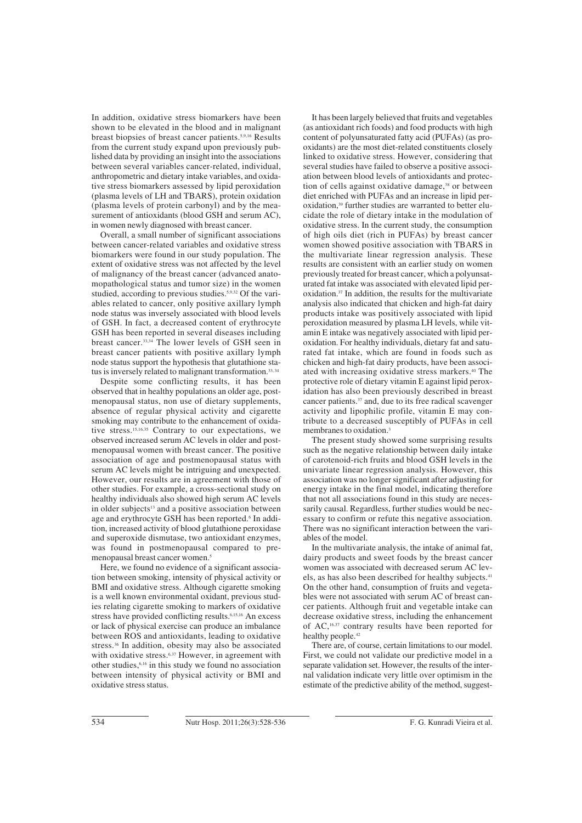In addition, oxidative stress biomarkers have been shown to be elevated in the blood and in malignant breast biopsies of breast cancer patients.5,9,16 Results from the current study expand upon previously published data by providing an insight into the associations between several variables cancer-related, individual, anthropometric and dietary intake variables, and oxidative stress biomarkers assessed by lipid peroxidation (plasma levels of LH and TBARS), protein oxidation (plasma levels of protein carbonyl) and by the measurement of antioxidants (blood GSH and serum AC), in women newly diagnosed with breast cancer.

Overall, a small number of significant associations between cancer-related variables and oxidative stress biomarkers were found in our study population. The extent of oxidative stress was not affected by the level of malignancy of the breast cancer (advanced anatomopathological status and tumor size) in the women studied, according to previous studies.5,9,32 Of the variables related to cancer, only positive axillary lymph node status was inversely associated with blood levels of GSH. In fact, a decreased content of erythrocyte GSH has been reported in several diseases including breast cancer.33,34 The lower levels of GSH seen in breast cancer patients with positive axillary lymph node status support the hypothesis that glutathione status is inversely related to malignant transformation.<sup>33, 34</sup>

Despite some conflicting results, it has been observed that in healthy populations an older age, postmenopausal status, non use of dietary supplements, absence of regular physical activity and cigarette smoking may contribute to the enhancement of oxidative stress.<sup>15,16,35</sup> Contrary to our expectations, we observed increased serum AC levels in older and postmenopausal women with breast cancer. The positive association of age and postmenopausal status with serum AC levels might be intriguing and unexpected. However, our results are in agreement with those of other studies. For example, a cross-sectional study on healthy individuals also showed high serum AC levels in older subjects<sup>13</sup> and a positive association between age and erythrocyte GSH has been reported.<sup>6</sup> In addition, increased activity of blood glutathione peroxidase and superoxide dismutase, two antioxidant enzymes, was found in postmenopausal compared to premenopausal breast cancer women.<sup>5</sup>

Here, we found no evidence of a significant association between smoking, intensity of physical activity or BMI and oxidative stress. Although cigarette smoking is a well known environmental oxidant, previous studies relating cigarette smoking to markers of oxidative stress have provided conflicting results.<sup>6,15,16</sup> An excess or lack of physical exercise can produce an imbalance between ROS and antioxidants, leading to oxidative stress.36 In addition, obesity may also be associated with oxidative stress.<sup>6,37</sup> However, in agreement with other studies,6,16 in this study we found no association between intensity of physical activity or BMI and oxidative stress status.

It has been largely believed that fruits and vegetables (as antioxidant rich foods) and food products with high content of polyunsaturated fatty acid (PUFAs) (as prooxidants) are the most diet-related constituents closely linked to oxidative stress. However, considering that several studies have failed to observe a positive association between blood levels of antioxidants and protection of cells against oxidative damage,<sup>38</sup> or between diet enriched with PUFAs and an increase in lipid peroxidation,<sup>39</sup> further studies are warranted to better elucidate the role of dietary intake in the modulation of oxidative stress. In the current study, the consumption of high oils diet (rich in PUFAs) by breast cancer women showed positive association with TBARS in the multivariate linear regression analysis. These results are consistent with an earlier study on women previously treated for breast cancer, which a polyunsaturated fat intake was associated with elevated lipid peroxidation.37 In addition, the results for the multivariate analysis also indicated that chicken and high-fat dairy products intake was positively associated with lipid peroxidation measured by plasma LH levels, while vitamin E intake was negatively associated with lipid peroxidation. For healthy individuals, dietary fat and saturated fat intake, which are found in foods such as chicken and high-fat dairy products, have been associated with increasing oxidative stress markers.<sup>40</sup> The protective role of dietary vitamin E against lipid peroxidation has also been previously described in breast cancer patients.37 and, due to its free radical scavenger activity and lipophilic profile, vitamin E may contribute to a decreased susceptibly of PUFAs in cell membranes to oxidation.3

The present study showed some surprising results such as the negative relationship between daily intake of carotenoid-rich fruits and blood GSH levels in the univariate linear regression analysis. However, this association was no longer significant after adjusting for energy intake in the final model, indicating therefore that not all associations found in this study are necessarily causal. Regardless, further studies would be necessary to confirm or refute this negative association. There was no significant interaction between the variables of the model.

In the multivariate analysis, the intake of animal fat, dairy products and sweet foods by the breast cancer women was associated with decreased serum AC levels, as has also been described for healthy subjects.<sup>41</sup> On the other hand, consumption of fruits and vegetables were not associated with serum AC of breast cancer patients. Although fruit and vegetable intake can decrease oxidative stress, including the enhancement of AC,16,37 contrary results have been reported for healthy people.<sup>42</sup>

There are, of course, certain limitations to our model. First, we could not validate our predictive model in a separate validation set. However, the results of the internal validation indicate very little over optimism in the estimate of the predictive ability of the method, suggest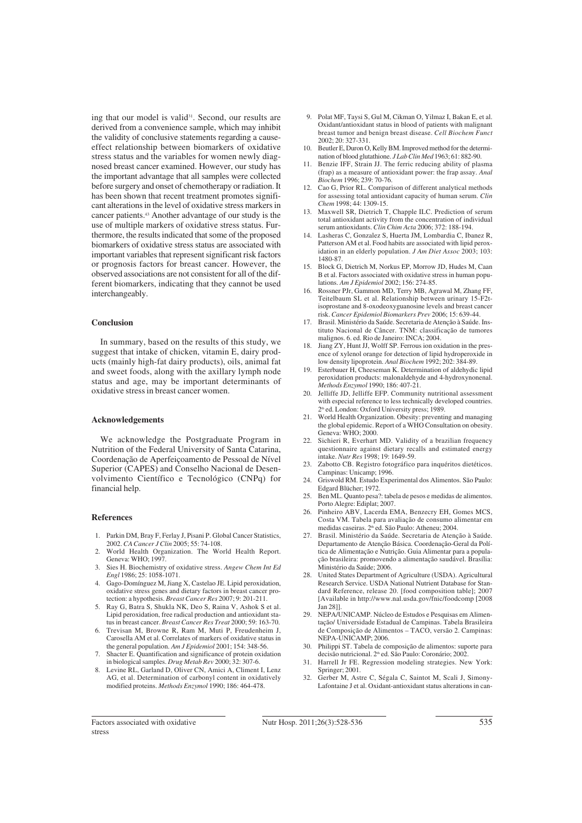ing that our model is valid<sup>31</sup>. Second, our results are derived from a convenience sample, which may inhibit the validity of conclusive statements regarding a causeeffect relationship between biomarkers of oxidative stress status and the variables for women newly diagnosed breast cancer examined. However, our study has the important advantage that all samples were collected before surgery and onset of chemotherapy or radiation. It has been shown that recent treatment promotes significant alterations in the level of oxidative stress markers in cancer patients.43 Another advantage of our study is the use of multiple markers of oxidative stress status. Furthermore, the results indicated that some of the proposed biomarkers of oxidative stress status are associated with important variables that represent significant risk factors or prognosis factors for breast cancer. However, the observed associations are not consistent for all of the different biomarkers, indicating that they cannot be used interchangeably.

## **Conclusion**

In summary, based on the results of this study, we suggest that intake of chicken, vitamin E, dairy products (mainly high-fat dairy products), oils, animal fat and sweet foods, along with the axillary lymph node status and age, may be important determinants of oxidative stress in breast cancer women.

## **Acknowledgements**

We acknowledge the Postgraduate Program in Nutrition of the Federal University of Santa Catarina, Coordenação de Aperfeiçoamento de Pessoal de Nível Superior (CAPES) and Conselho Nacional de Desenvolvimento Científico e Tecnológico (CNPq) for financial help.

#### **References**

- 1. Parkin DM, Bray F, Ferlay J, Pisani P. Global Cancer Statistics, 2002. *CA Cancer J Clin* 2005; 55: 74-108.
- World Health Organization. The World Health Report. Geneva: WHO; 1997.
- 3. Sies H. Biochemistry of oxidative stress. *Angew Chem Int Ed Engl* 1986; 25: 1058-1071.
- 4. Gago-Domínguez M, Jiang X, Castelao JE. Lipid peroxidation, oxidative stress genes and dietary factors in breast cancer protection: a hypothesis. *Breast Cancer Res* 2007; 9: 201-211.
- 5. Ray G, Batra S, Shukla NK, Deo S, Raina V, Ashok S et al. Lipid peroxidation, free radical production and antioxidant status in breast cancer. *Breast Cancer Res Treat* 2000; 59: 163-70.
- 6. Trevisan M, Browne R, Ram M, Muti P, Freudenheim J, Carosella AM et al. Correlates of markers of oxidative status in the general population. *Am J Epidemiol* 2001; 154: 348-56.
- 7. Shacter E. Quantification and significance of protein oxidation in biological samples. *Drug Metab Rev* 2000; 32: 307-6.
- 8. Levine RL, Garland D, Oliver CN, Amici A, Climent I, Lenz AG, et al. Determination of carbonyl content in oxidatively modified proteins. *Methods Enzymol* 1990; 186: 464-478.
- 9. Polat MF, Taysi S, Gul M, Cikman O, Yilmaz I, Bakan E, et al. Oxidant/antioxidant status in blood of patients with malignant breast tumor and benign breast disease. *Cell Biochem Funct* 2002; 20: 327-331.
- 10. Beutler E, Duron O, Kelly BM. Improved method for the determination of blood glutathione. *J Lab Clin Med* 1963; 61: 882-90.
- 11. Benzie IFF, Strain JJ. The ferric reducing ability of plasma (frap) as a measure of antioxidant power: the frap assay. *Anal Biochem* 1996; 239: 70-76.
- 12. Cao G, Prior RL. Comparison of different analytical methods for assessing total antioxidant capacity of human serum. *Clin Chem* 1998; 44: 1309-15.
- 13. Maxwell SR, Dietrich T, Chapple ILC. Prediction of serum total antioxidant activity from the concentration of individual serum antioxidants. *Clin Chim Acta* 2006; 372: 188-194.
- 14. Lasheras C, Gonzalez S, Huerta JM, Lombardia C, Ibanez R, Patterson AM et al. Food habits are associated with lipid peroxidation in an elderly population. *J Am Diet Assoc* 2003; 103: 1480-87.
- 15. Block G, Dietrich M, Norkus EP, Morrow JD, Hudes M, Caan B et al. Factors associated with oxidative stress in human populations. *Am J Epidemiol* 2002; 156: 274-85.
- Rossner PJr, Gammon MD, Terry MB, Agrawal M, Zhang FF, Teitelbaum SL et al. Relationship between urinary 15-F2tisoprostane and 8-oxodeoxyguanosine levels and breast cancer risk. *Cancer Epidemiol Biomarkers Prev* 2006; 15: 639-44.
- 17. Brasil. Ministério da Saúde. Secretaria de Atenção à Saúde. Instituto Nacional de Câncer. TNM: classificação de tumores malignos. 6. ed. Rio de Janeiro: INCA; 2004.
- Jiang ZY, Hunt JJ, Wolff SP. Ferrous ion oxidation in the presence of xylenol orange for detection of lipid hydroperoxide in low density lipoprotein. *Anal Biochem* 1992; 202: 384-89.
- 19. Esterbauer H, Cheeseman K. Determination of aldehydic lipid peroxidation products: malonaldehyde and 4-hydroxynonenal. *Methods Enzymol* 1990; 186: 407-21.
- 20. Jelliffe JD, Jelliffe EFP. Community nutritional assessment with especial reference to less technically developed countries. 2<sup>th</sup> ed. London: Oxford University press; 1989.
- 21. World Health Organization. Obesity: preventing and managing the global epidemic. Report of a WHO Consultation on obesity. Geneva: WHO; 2000.
- 22. Sichieri R, Everhart MD. Validity of a brazilian frequency questionnaire against dietary recalls and estimated energy intake. *Nutr Res* 1998; 19: 1649-59.
- 23. Zabotto CB. Registro fotográfico para inquéritos dietéticos. Campinas: Unicamp; 1996.
- 24. Griswold RM. Estudo Experimental dos Alimentos. São Paulo: Edgard Blücher; 1972.
- 25. Ben ML. Quanto pesa?: tabela de pesos e medidas de alimentos. Porto Alegre: Ediplat; 2007.
- 26. Pinheiro ABV, Lacerda EMA, Benzecry EH, Gomes MCS, Costa VM. Tabela para avaliação de consumo alimentar em medidas caseiras. 2<sup>th</sup> ed. São Paulo: Atheneu: 2004.
- 27. Brasil. Ministério da Saúde. Secretaria de Atenção à Saúde. Departamento de Atenção Básica. Coordenação-Geral da Política de Alimentação e Nutrição. Guia Alimentar para a população brasileira: promovendo a alimentação saudável. Brasília: Ministério da Saúde; 2006.
- United States Department of Agriculture (USDA). Agricultural Research Service. USDA National Nutrient Database for Standard Reference, release 20. [food composition table]; 2007 [Available in http://www.nal.usda.gov/fnic/foodcomp [2008 Jan 28]].
- 29. NEPA/UNICAMP. Núcleo de Estudos e Pesquisas em Alimentação/ Universidade Estadual de Campinas. Tabela Brasileira de Composição de Alimentos – TACO, versão 2. Campinas: NEPA-UNICAMP; 2006.
- 30. Philippi ST. Tabela de composição de alimentos: suporte para decisão nutricional. 2<sup>th</sup> ed. São Paulo: Coronário; 2002.
- 31. Harrell Jr FE. Regression modeling strategies. New York: Springer; 2001. 32. Gerber M, Astre C, Ségala C, Saintot M, Scali J, Simony-
- Lafontaine J et al. Oxidant-antioxidant status alterations in can-

Factors associated with oxidative stress